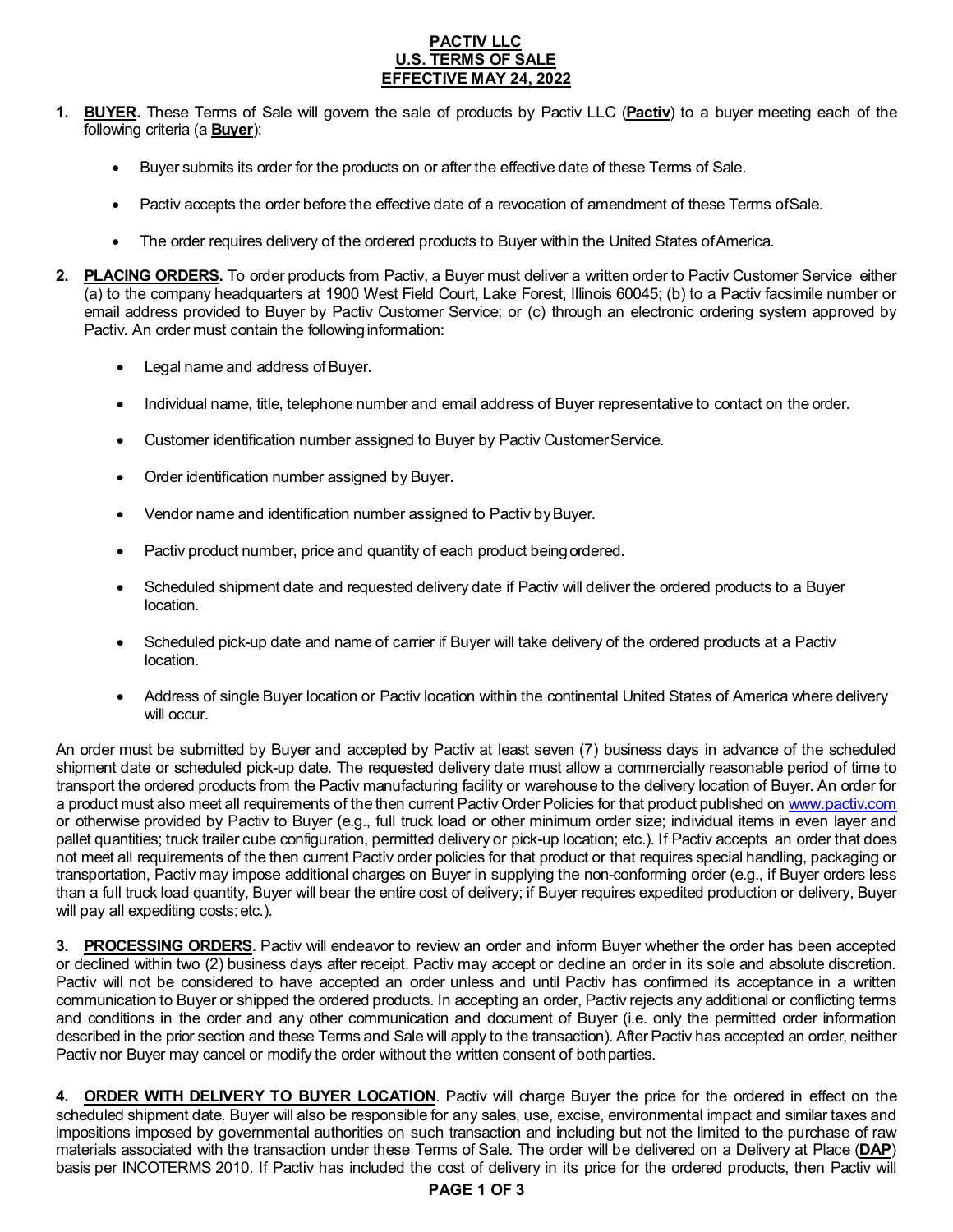# **PACTIV LLC U.S. TERMS OF SALE EFFECTIVE MAY 24, 2022**

- **1. BUYER.** These Terms of Sale will govern the sale of products by Pactiv LLC (**Pactiv**) to a buyer meeting each of the following criteria (a **Buyer**):
	- Buyer submits its order for the products on or after the effective date of these Terms of Sale.
	- Pactiv accepts the order before the effective date of a revocation of amendment of these Terms ofSale.
	- The order requires delivery of the ordered products to Buyer within the United States ofAmerica.
- **2. PLACING ORDERS.** To order products from Pactiv, a Buyer must deliver a written order to Pactiv Customer Service either (a) to the company headquarters at 1900 West Field Court, Lake Forest, Illinois 60045; (b) to a Pactiv facsimile number or email address provided to Buyer by Pactiv Customer Service; or (c) through an electronic ordering system approved by Pactiv. An order must contain the following information:
	- Legal name and address of Buyer.
	- Individual name, title, telephone number and email address of Buyer representative to contact on the order.
	- Customer identification number assigned to Buyer by Pactiv Customer Service.
	- Order identification number assigned by Buyer.
	- Vendor name and identification number assigned to Pactiv by Buyer.
	- Pactiv product number, price and quantity of each product being ordered.
	- Scheduled shipment date and requested delivery date if Pactiv will deliver the ordered products to a Buyer location.
	- Scheduled pick-up date and name of carrier if Buyer will take delivery of the ordered products at a Pactiv location.
	- Address of single Buyer location or Pactiv location within the continental United States of America where delivery will occur.

An order must be submitted by Buyer and accepted by Pactiv at least seven (7) business days in advance of the scheduled shipment date or scheduled pick-up date. The requested delivery date must allow a commercially reasonable period of time to transport the ordered products from the Pactiv manufacturing facility or warehouse to the delivery location of Buyer. An order for a product must also meet all requirements of the then current Pactiv Order Policies for that product published on [www.pactiv.com](http://www.pactiv.com/) or otherwise provided by Pactiv to Buyer (e.g., full truck load or other minimum order size; individual items in even layer and pallet quantities; truck trailer cube configuration, permitted delivery or pick-up location; etc.). If Pactiv accepts an order that does not meet all requirements of the then current Pactiv order policies for that product or that requires special handling, packaging or transportation, Pactiv may impose additional charges on Buyer in supplying the non-conforming order (e.g., if Buyer orders less than a full truck load quantity, Buyer will bear the entire cost of delivery; if Buyer requires expedited production or delivery, Buyer will pay all expediting costs; etc.).

**3. PROCESSING ORDERS**. Pactiv will endeavor to review an order and inform Buyer whether the order has been accepted or declined within two (2) business days after receipt. Pactiv may accept or decline an order in its sole and absolute discretion. Pactiv will not be considered to have accepted an order unless and until Pactiv has confirmed its acceptance in a written communication to Buyer or shipped the ordered products. In accepting an order, Pactiv rejects any additional or conflicting terms and conditions in the order and any other communication and document of Buyer (i.e. only the permitted order information described in the prior section and these Terms and Sale will apply to the transaction). After Pactiv has accepted an order, neither Pactiv nor Buyer may cancel or modify the order without the written consent of bothparties.

**4. ORDER WITH DELIVERY TO BUYER LOCATION**. Pactiv will charge Buyer the price for the ordered in effect on the scheduled shipment date. Buyer will also be responsible for any sales, use, excise, environmental impact and similar taxes and impositions imposed by governmental authorities on such transaction and including but not the limited to the purchase of raw materials associated with the transaction under these Terms of Sale. The order will be delivered on a Delivery at Place (**DAP**) basis per INCOTERMS 2010. If Pactiv has included the cost of delivery in its price for the ordered products, then Pactiv will

# **PAGE 1 OF 3**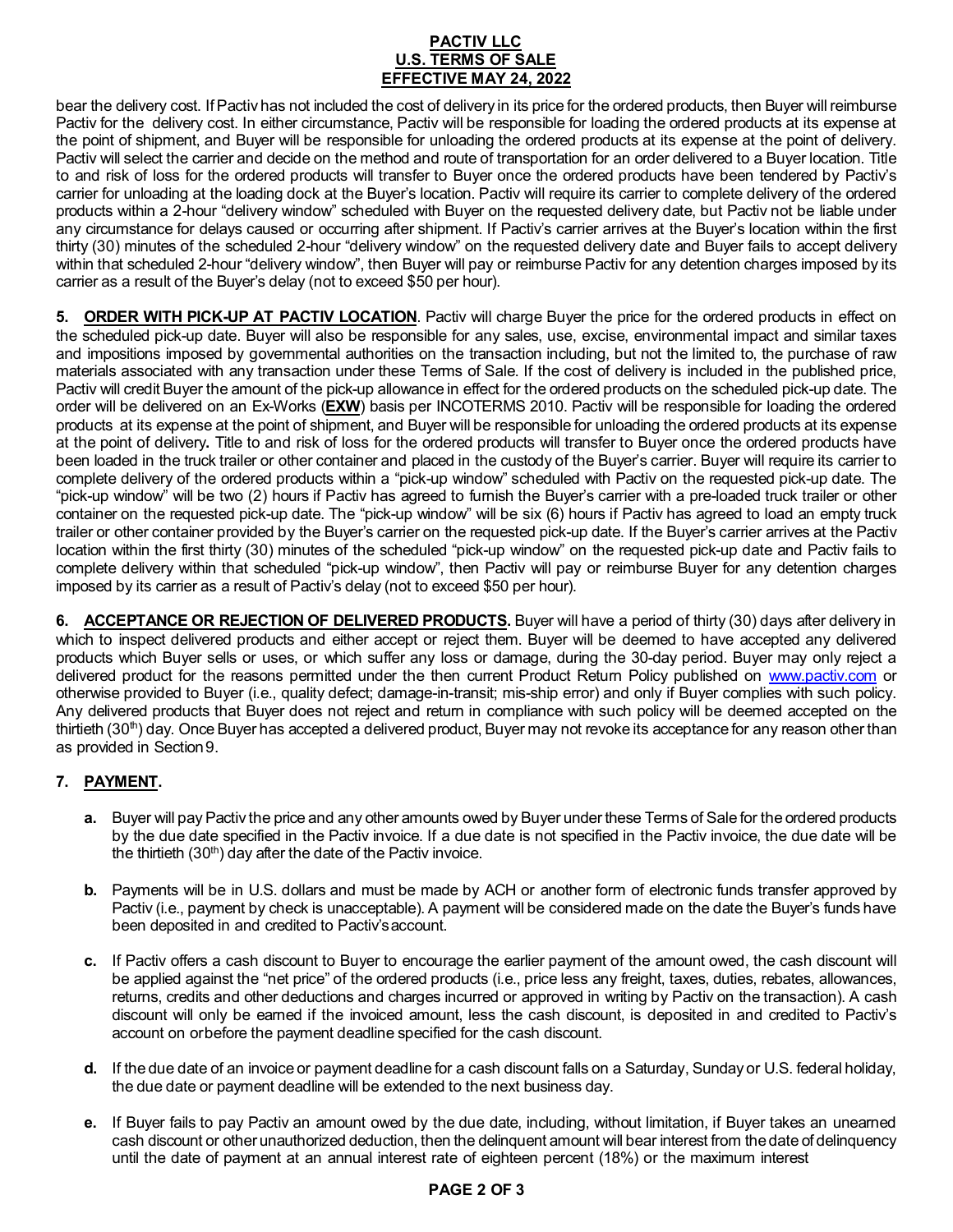# **PACTIV LLC U.S. TERMS OF SALE EFFECTIVE MAY 24, 2022**

bear the delivery cost. IfPactiv has not included the cost of delivery in its price for the ordered products, then Buyer will reimburse Pactiv for the delivery cost. In either circumstance, Pactiv will be responsible for loading the ordered products at its expense at the point of shipment, and Buyer will be responsible for unloading the ordered products at its expense at the point of delivery. Pactiv will select the carrier and decide on the method and route of transportation for an order delivered to a Buyer location. Title to and risk of loss for the ordered products will transfer to Buyer once the ordered products have been tendered by Pactiv's carrier for unloading at the loading dock at the Buyer's location. Pactiv will require its carrier to complete delivery of the ordered products within a 2-hour "delivery window" scheduled with Buyer on the requested delivery date, but Pactiv not be liable under any circumstance for delays caused or occurring after shipment. If Pactiv's carrier arrives at the Buyer's location within the first thirty (30) minutes of the scheduled 2-hour "delivery window" on the requested delivery date and Buyer fails to accept delivery within that scheduled 2-hour "delivery window", then Buyer will pay or reimburse Pactiv for any detention charges imposed by its carrier as a result of the Buyer's delay (not to exceed \$50 per hour).

**5. ORDER WITH PICK-UP AT PACTIV LOCATION**. Pactiv will charge Buyer the price for the ordered products in effect on the scheduled pick-up date. Buyer will also be responsible for any sales, use, excise, environmental impact and similar taxes and impositions imposed by governmental authorities on the transaction including, but not the limited to, the purchase of raw materials associated with any transaction under these Terms of Sale. If the cost of delivery is included in the published price, Pactiv will credit Buyer the amount of the pick-up allowance in effect for the ordered products on the scheduled pick-up date. The order will be delivered on an Ex-Works (**EXW**) basis per INCOTERMS 2010. Pactiv will be responsible for loading the ordered products at its expense at the point of shipment, and Buyer will be responsible for unloading the ordered products at its expense at the point of delivery**.** Title to and risk of loss for the ordered products will transfer to Buyer once the ordered products have been loaded in the truck trailer or other container and placed in the custody of the Buyer's carrier. Buyer will require its carrier to complete delivery of the ordered products within a "pick-up window" scheduled with Pactiv on the requested pick-up date. The "pick-up window" will be two (2) hours if Pactiv has agreed to furnish the Buyer's carrier with a pre-loaded truck trailer or other container on the requested pick-up date. The "pick-up window" will be six (6) hours if Pactiv has agreed to load an empty truck trailer or other container provided by the Buyer's carrier on the requested pick-up date. If the Buyer's carrier arrives at the Pactiv location within the first thirty (30) minutes of the scheduled "pick-up window" on the requested pick-up date and Pactiv fails to complete delivery within that scheduled "pick-up window", then Pactiv will pay or reimburse Buyer for any detention charges imposed by its carrier as a result of Pactiv's delay (not to exceed \$50 per hour).

**6. ACCEPTANCE OR REJECTION OF DELIVERED PRODUCTS.** Buyer will have a period of thirty (30) days after delivery in which to inspect delivered products and either accept or reject them. Buyer will be deemed to have accepted any delivered products which Buyer sells or uses, or which suffer any loss or damage, during the 30-day period. Buyer may only reject a delivered product for the reasons permitted under the then current Product Return Policy published on [www.pactiv.com](http://www.pactiv.com/) or otherwise provided to Buyer (i.e., quality defect; damage-in-transit; mis-ship error) and only if Buyer complies with such policy. Any delivered products that Buyer does not reject and return in compliance with such policy will be deemed accepted on the thirtieth  $(30<sup>th</sup>)$  day. Once Buyer has accepted a delivered product, Buyer may not revoke its acceptance for any reason other than as provided in Section9.

# **7. PAYMENT.**

- **a.** Buyer will pay Pactiv the price and any other amounts owed by Buyer under these Terms of Sale for the ordered products by the due date specified in the Pactiv invoice. If a due date is not specified in the Pactiv invoice, the due date will be the thirtieth  $(30<sup>th</sup>)$  day after the date of the Pactiv invoice.
- **b.** Payments will be in U.S. dollars and must be made by ACH or another form of electronic funds transfer approved by Pactiv (i.e., payment by check is unacceptable). A payment will be considered made on the date the Buyer's funds have been deposited in and credited to Pactiv's account.
- **c.** If Pactiv offers a cash discount to Buyer to encourage the earlier payment of the amount owed, the cash discount will be applied against the "net price" of the ordered products (i.e., price less any freight, taxes, duties, rebates, allowances, returns, credits and other deductions and charges incurred or approved in writing by Pactiv on the transaction). A cash discount will only be earned if the invoiced amount, less the cash discount, is deposited in and credited to Pactiv's account on orbefore the payment deadline specified for the cash discount.
- **d.** If the due date of an invoice or payment deadline for a cash discount falls on a Saturday, Sunday or U.S. federal holiday, the due date or payment deadline will be extended to the next business day.
- **e.** If Buyer fails to pay Pactiv an amount owed by the due date, including, without limitation, if Buyer takes an unearned cash discount or other unauthorized deduction, then the delinquent amount will bear interest from the date of delinquency until the date of payment at an annual interest rate of eighteen percent (18%) or the maximum interest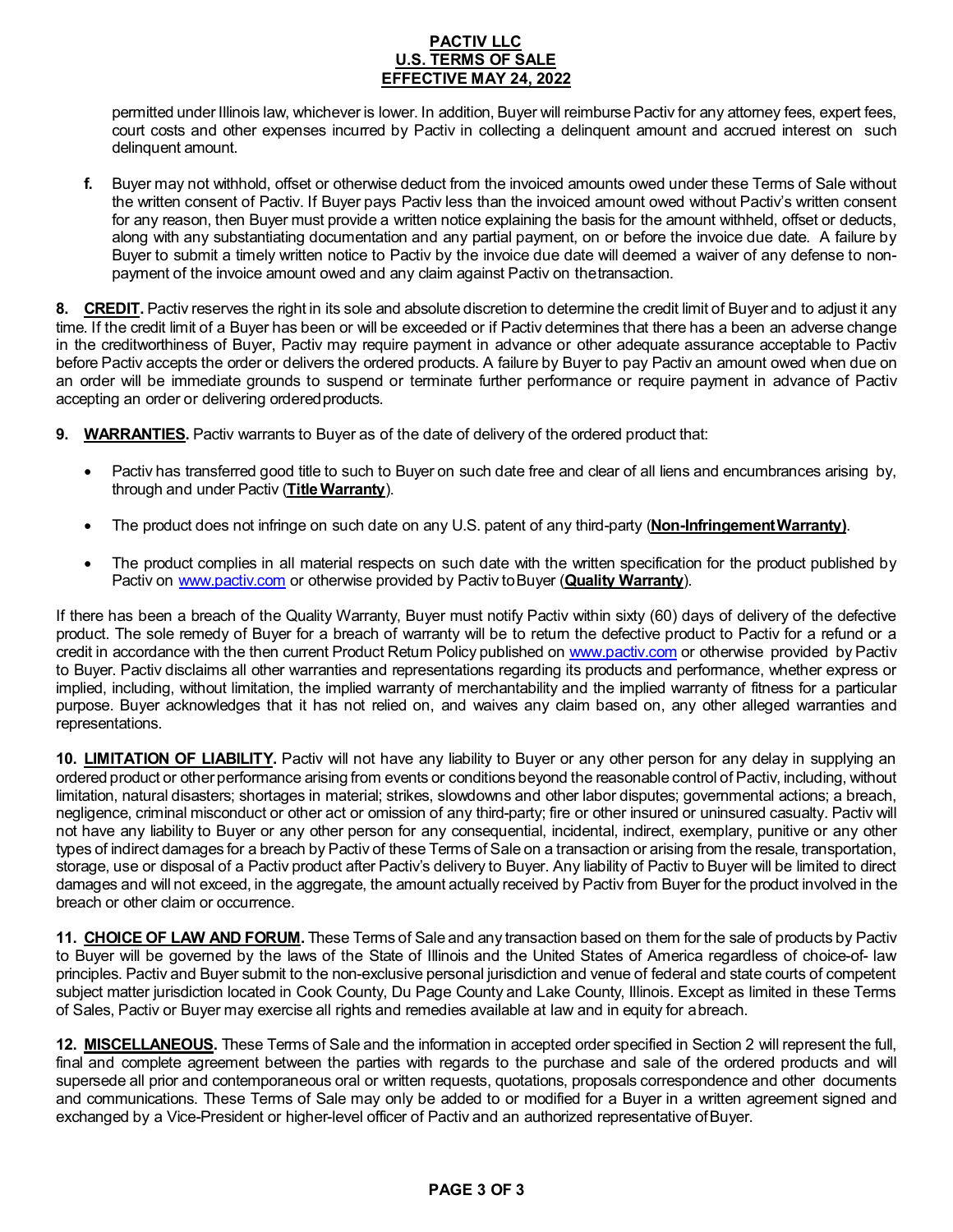# **PACTIV LLC U.S. TERMS OF SALE EFFECTIVE MAY 24, 2022**

permitted under Illinois law, whichever is lower. In addition, Buyer will reimburse Pactiv for any attorney fees, expert fees, court costs and other expenses incurred by Pactiv in collecting a delinquent amount and accrued interest on such delinquent amount.

**f.** Buyer may not withhold, offset or otherwise deduct from the invoiced amounts owed under these Terms of Sale without the written consent of Pactiv. If Buyer pays Pactiv less than the invoiced amount owed without Pactiv's written consent for any reason, then Buyer must provide a written notice explaining the basis for the amount withheld, offset or deducts, along with any substantiating documentation and any partial payment, on or before the invoice due date. A failure by Buyer to submit a timely written notice to Pactiv by the invoice due date will deemed a waiver of any defense to nonpayment of the invoice amount owed and any claim against Pactiv on thetransaction.

**8.** CREDIT. Pactiv reserves the right in its sole and absolute discretion to determine the credit limit of Buyer and to adjust it any time. If the credit limit of a Buyer has been or will be exceeded or if Pactiv determines that there has a been an adverse change in the creditworthiness of Buyer, Pactiv may require payment in advance or other adequate assurance acceptable to Pactiv before Pactiv accepts the order or delivers the ordered products. A failure by Buyer to pay Pactiv an amount owed when due on an order will be immediate grounds to suspend or terminate further performance or require payment in advance of Pactiv accepting an order or delivering ordered products.

- **9. WARRANTIES.** Pactiv warrants to Buyer as of the date of delivery of the ordered product that:
	- Pactiv has transferred good title to such to Buyer on such date free and clear of all liens and encumbrances arising by, through and under Pactiv (**Title Warranty**).
	- The product does not infringe on such date on any U.S. patent of any third-party (**Non-InfringementWarranty)**.
	- The product complies in all material respects on such date with the written specification for the product published by Pactiv on [www.pactiv.com](http://www.pactiv.com/) or otherwise provided by Pactiv to Buyer (**Quality Warranty**).

If there has been a breach of the Quality Warranty, Buyer must notify Pactiv within sixty (60) days of delivery of the defective product. The sole remedy of Buyer for a breach of warranty will be to return the defective product to Pactiv for a refund or a credit in accordance with the then current Product Return Policy published on [www.pactiv.com](http://www.pactiv.com/) or otherwise provided by Pactiv to Buyer. Pactiv disclaims all other warranties and representations regarding its products and performance, whether express or implied, including, without limitation, the implied warranty of merchantability and the implied warranty of fitness for a particular purpose. Buyer acknowledges that it has not relied on, and waives any claim based on, any other alleged warranties and representations.

**10. LIMITATION OF LIABILITY.** Pactiv will not have any liability to Buyer or any other person for any delay in supplying an ordered product or other performance arising from events or conditions beyond the reasonable control of Pactiv, including, without limitation, natural disasters; shortages in material; strikes, slowdowns and other labor disputes; governmental actions; a breach, negligence, criminal misconduct or other act or omission of any third-party; fire or other insured or uninsured casualty. Pactiv will not have any liability to Buyer or any other person for any consequential, incidental, indirect, exemplary, punitive or any other types of indirect damages for a breach by Pactiv of these Terms of Sale on a transaction or arising from the resale, transportation, storage, use or disposal of a Pactiv product after Pactiv's delivery to Buyer. Any liability of Pactiv to Buyer will be limited to direct damages and will not exceed, in the aggregate, the amount actually received by Pactiv from Buyer for the product involved in the breach or other claim or occurrence.

**11. CHOICE OF LAW AND FORUM.** These Terms of Sale and any transaction based on them for the sale of products by Pactiv to Buyer will be governed by the laws of the State of Illinois and the United States of America regardless of choice-of- law principles. Pactiv and Buyer submit to the non-exclusive personal jurisdiction and venue of federal and state courts of competent subject matter jurisdiction located in Cook County, Du Page County and Lake County, Illinois. Except as limited in these Terms of Sales, Pactiv or Buyer may exercise all rights and remedies available at law and in equity for abreach.

**12. MISCELLANEOUS.** These Terms of Sale and the information in accepted order specified in Section 2 will represent the full, final and complete agreement between the parties with regards to the purchase and sale of the ordered products and will supersede all prior and contemporaneous oral or written requests, quotations, proposals correspondence and other documents and communications. These Terms of Sale may only be added to or modified for a Buyer in a written agreement signed and exchanged by a Vice-President or higher-level officer of Pactiv and an authorized representative of Buyer.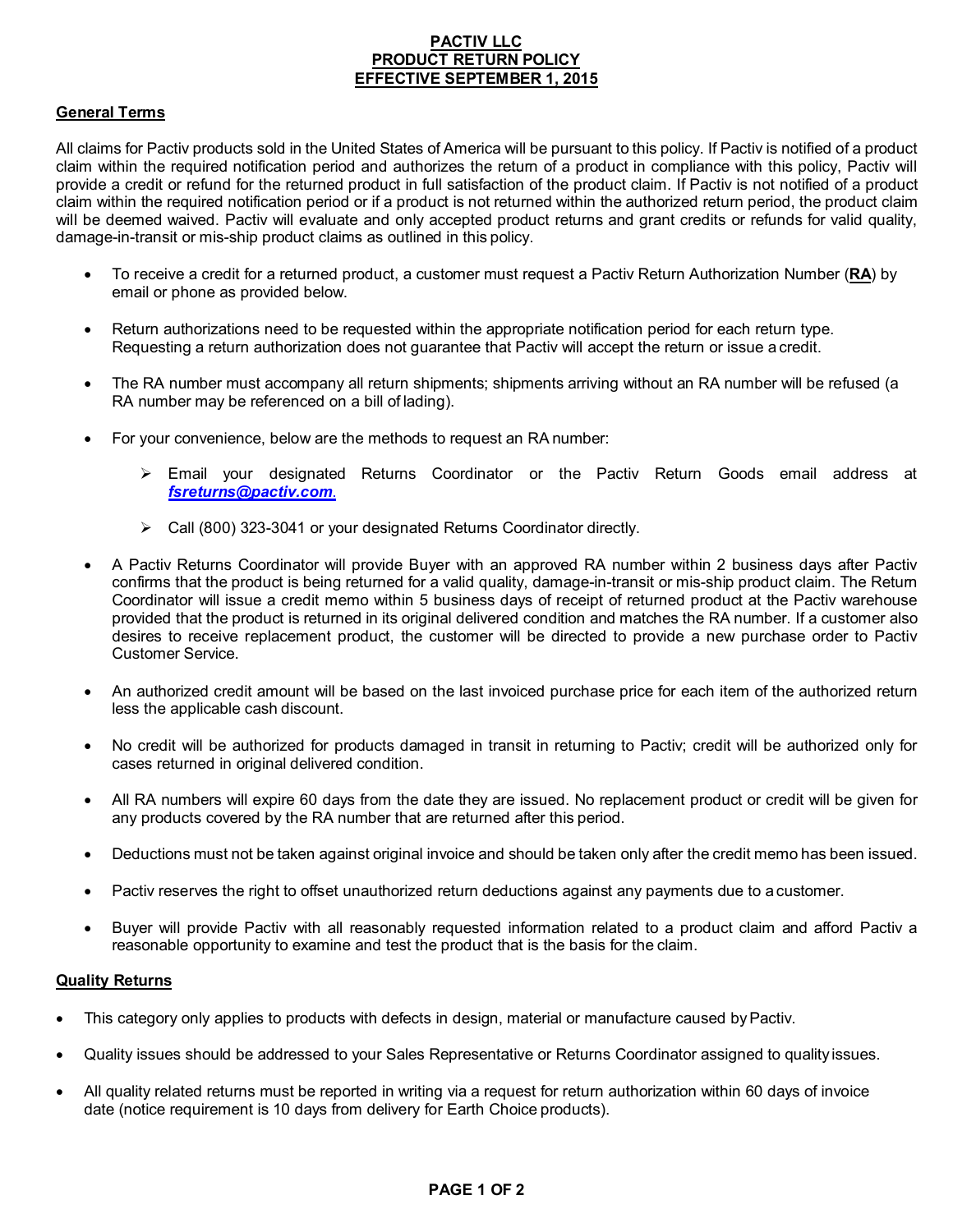# **PACTIV LLC PRODUCT RETURN POLICY EFFECTIVE SEPTEMBER 1, 2015**

# **General Terms**

All claims for Pactiv products sold in the United States of America will be pursuant to this policy. If Pactiv is notified of a product claim within the required notification period and authorizes the return of a product in compliance with this policy, Pactiv will provide a credit or refund for the returned product in full satisfaction of the product claim. If Pactiv is not notified of a product claim within the required notification period or if a product is not returned within the authorized return period, the product claim will be deemed waived. Pactiv will evaluate and only accepted product returns and grant credits or refunds for valid quality, damage-in-transit or mis-ship product claims as outlined in this policy.

- To receive a credit for a returned product, a customer must request a Pactiv Return Authorization Number (**RA**) by email or phone as provided below.
- Return authorizations need to be requested within the appropriate notification period for each return type. Requesting a return authorization does not guarantee that Pactiv will accept the return or issue a credit.
- The RA number must accompany all return shipments; shipments arriving without an RA number will be refused (a RA number may be referenced on a bill of lading).
- For your convenience, below are the methods to request an RA number:
	- Email your designated Returns Coordinator or the Pactiv Return Goods email address at *[fsreturns@pactiv.com](mailto:fsreturns@pactiv.com)*.
	- Call (800) 323-3041 or your designated Returns Coordinator directly.
- A Pactiv Returns Coordinator will provide Buyer with an approved RA number within 2 business days after Pactiv confirms that the product is being returned for a valid quality, damage-in-transit or mis-ship product claim. The Return Coordinator will issue a credit memo within 5 business days of receipt of returned product at the Pactiv warehouse provided that the product is returned in its original delivered condition and matches the RA number. If a customer also desires to receive replacement product, the customer will be directed to provide a new purchase order to Pactiv Customer Service.
- An authorized credit amount will be based on the last invoiced purchase price for each item of the authorized return less the applicable cash discount.
- No credit will be authorized for products damaged in transit in returning to Pactiv; credit will be authorized only for cases returned in original delivered condition.
- All RA numbers will expire 60 days from the date they are issued. No replacement product or credit will be given for any products covered by the RA number that are returned after this period.
- Deductions must not be taken against original invoice and should be taken only after the credit memo has been issued.
- Pactiv reserves the right to offset unauthorized return deductions against any payments due to a customer.
- Buyer will provide Pactiv with all reasonably requested information related to a product claim and afford Pactiv a reasonable opportunity to examine and test the product that is the basis for the claim.

#### **Quality Returns**

- This category only applies to products with defects in design, material or manufacture caused by Pactiv.
- Quality issues should be addressed to your Sales Representative or Returns Coordinator assigned to quality issues.
- All quality related returns must be reported in writing via a request for return authorization within 60 days of invoice date (notice requirement is 10 days from delivery for Earth Choice products).